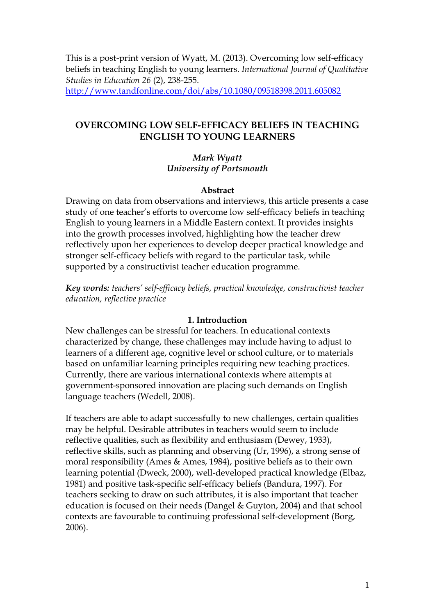This is a post-print version of Wyatt, M. (2013). Overcoming low self-efficacy beliefs in teaching English to young learners. *International Journal of Qualitative Studies in Education 26* (2), 238-255. <http://www.tandfonline.com/doi/abs/10.1080/09518398.2011.605082>

## **OVERCOMING LOW SELF-EFFICACY BELIEFS IN TEACHING ENGLISH TO YOUNG LEARNERS**

## *Mark Wyatt University of Portsmouth*

### **Abstract**

Drawing on data from observations and interviews, this article presents a case study of one teacher's efforts to overcome low self-efficacy beliefs in teaching English to young learners in a Middle Eastern context. It provides insights into the growth processes involved, highlighting how the teacher drew reflectively upon her experiences to develop deeper practical knowledge and stronger self-efficacy beliefs with regard to the particular task, while supported by a constructivist teacher education programme.

*Key words: teachers' self-efficacy beliefs, practical knowledge, constructivist teacher education, reflective practice*

### **1. Introduction**

New challenges can be stressful for teachers. In educational contexts characterized by change, these challenges may include having to adjust to learners of a different age, cognitive level or school culture, or to materials based on unfamiliar learning principles requiring new teaching practices. Currently, there are various international contexts where attempts at government-sponsored innovation are placing such demands on English language teachers (Wedell, 2008).

If teachers are able to adapt successfully to new challenges, certain qualities may be helpful. Desirable attributes in teachers would seem to include reflective qualities, such as flexibility and enthusiasm (Dewey, 1933), reflective skills, such as planning and observing (Ur, 1996), a strong sense of moral responsibility (Ames & Ames, 1984), positive beliefs as to their own learning potential (Dweck, 2000), well-developed practical knowledge (Elbaz, 1981) and positive task-specific self-efficacy beliefs (Bandura, 1997). For teachers seeking to draw on such attributes, it is also important that teacher education is focused on their needs (Dangel & Guyton, 2004) and that school contexts are favourable to continuing professional self-development (Borg, 2006).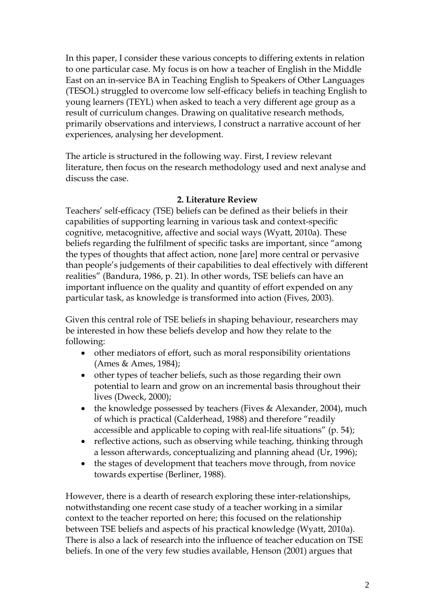In this paper, I consider these various concepts to differing extents in relation to one particular case. My focus is on how a teacher of English in the Middle East on an in-service BA in Teaching English to Speakers of Other Languages (TESOL) struggled to overcome low self-efficacy beliefs in teaching English to young learners (TEYL) when asked to teach a very different age group as a result of curriculum changes. Drawing on qualitative research methods, primarily observations and interviews, I construct a narrative account of her experiences, analysing her development.

The article is structured in the following way. First, I review relevant literature, then focus on the research methodology used and next analyse and discuss the case.

## **2. Literature Review**

Teachers' self-efficacy (TSE) beliefs can be defined as their beliefs in their capabilities of supporting learning in various task and context-specific cognitive, metacognitive, affective and social ways (Wyatt, 2010a). These beliefs regarding the fulfilment of specific tasks are important, since "among the types of thoughts that affect action, none [are] more central or pervasive than people's judgements of their capabilities to deal effectively with different realities" (Bandura, 1986, p. 21). In other words, TSE beliefs can have an important influence on the quality and quantity of effort expended on any particular task, as knowledge is transformed into action (Fives, 2003).

Given this central role of TSE beliefs in shaping behaviour, researchers may be interested in how these beliefs develop and how they relate to the following:

- other mediators of effort, such as moral responsibility orientations (Ames & Ames, 1984);
- other types of teacher beliefs, such as those regarding their own potential to learn and grow on an incremental basis throughout their lives (Dweck, 2000);
- the knowledge possessed by teachers (Fives & Alexander, 2004), much of which is practical (Calderhead, 1988) and therefore "readily accessible and applicable to coping with real-life situations" (p. 54);
- reflective actions, such as observing while teaching, thinking through a lesson afterwards, conceptualizing and planning ahead (Ur, 1996);
- the stages of development that teachers move through, from novice towards expertise (Berliner, 1988).

However, there is a dearth of research exploring these inter-relationships, notwithstanding one recent case study of a teacher working in a similar context to the teacher reported on here; this focused on the relationship between TSE beliefs and aspects of his practical knowledge (Wyatt, 2010a). There is also a lack of research into the influence of teacher education on TSE beliefs. In one of the very few studies available, Henson (2001) argues that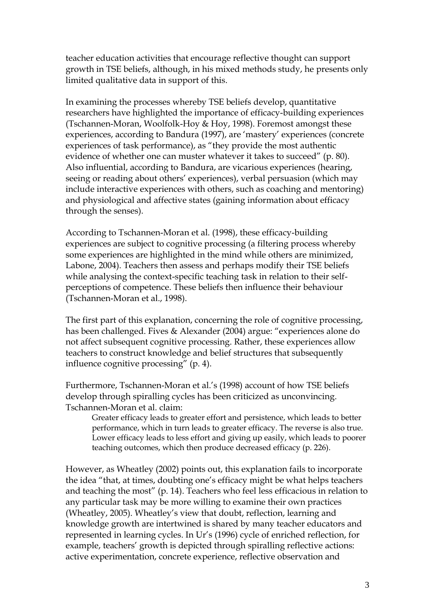teacher education activities that encourage reflective thought can support growth in TSE beliefs, although, in his mixed methods study, he presents only limited qualitative data in support of this.

In examining the processes whereby TSE beliefs develop, quantitative researchers have highlighted the importance of efficacy-building experiences (Tschannen-Moran, Woolfolk-Hoy & Hoy, 1998). Foremost amongst these experiences, according to Bandura (1997), are 'mastery' experiences (concrete experiences of task performance), as "they provide the most authentic evidence of whether one can muster whatever it takes to succeed" (p. 80). Also influential, according to Bandura, are vicarious experiences (hearing, seeing or reading about others' experiences), verbal persuasion (which may include interactive experiences with others, such as coaching and mentoring) and physiological and affective states (gaining information about efficacy through the senses).

According to Tschannen-Moran et al. (1998), these efficacy-building experiences are subject to cognitive processing (a filtering process whereby some experiences are highlighted in the mind while others are minimized, Labone, 2004). Teachers then assess and perhaps modify their TSE beliefs while analysing the context-specific teaching task in relation to their selfperceptions of competence. These beliefs then influence their behaviour (Tschannen-Moran et al., 1998).

The first part of this explanation, concerning the role of cognitive processing, has been challenged. Fives & Alexander (2004) argue: "experiences alone do not affect subsequent cognitive processing. Rather, these experiences allow teachers to construct knowledge and belief structures that subsequently influence cognitive processing" (p. 4).

Furthermore, Tschannen-Moran et al.'s (1998) account of how TSE beliefs develop through spiralling cycles has been criticized as unconvincing. Tschannen-Moran et al. claim:

Greater efficacy leads to greater effort and persistence, which leads to better performance, which in turn leads to greater efficacy. The reverse is also true. Lower efficacy leads to less effort and giving up easily, which leads to poorer teaching outcomes, which then produce decreased efficacy (p. 226).

However, as Wheatley (2002) points out, this explanation fails to incorporate the idea "that, at times, doubting one's efficacy might be what helps teachers and teaching the most" (p. 14). Teachers who feel less efficacious in relation to any particular task may be more willing to examine their own practices (Wheatley, 2005). Wheatley's view that doubt, reflection, learning and knowledge growth are intertwined is shared by many teacher educators and represented in learning cycles. In Ur's (1996) cycle of enriched reflection, for example, teachers' growth is depicted through spiralling reflective actions: active experimentation, concrete experience, reflective observation and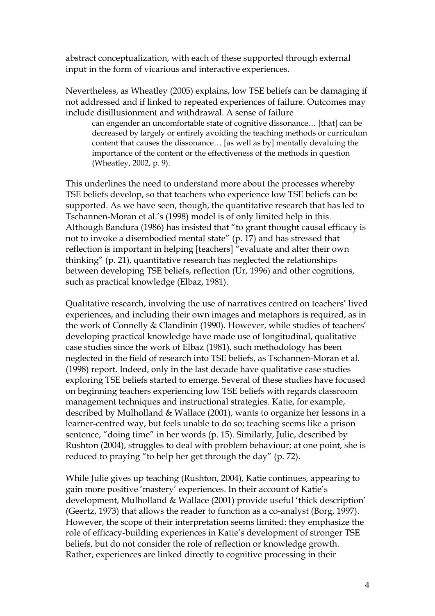abstract conceptualization, with each of these supported through external input in the form of vicarious and interactive experiences.

Nevertheless, as Wheatley (2005) explains, low TSE beliefs can be damaging if not addressed and if linked to repeated experiences of failure. Outcomes may include disillusionment and withdrawal. A sense of failure

can engender an uncomfortable state of cognitive dissonance… [that] can be decreased by largely or entirely avoiding the teaching methods or curriculum content that causes the dissonance… [as well as by] mentally devaluing the importance of the content or the effectiveness of the methods in question (Wheatley, 2002, p. 9).

This underlines the need to understand more about the processes whereby TSE beliefs develop, so that teachers who experience low TSE beliefs can be supported. As we have seen, though, the quantitative research that has led to Tschannen-Moran et al.'s (1998) model is of only limited help in this. Although Bandura (1986) has insisted that "to grant thought causal efficacy is not to invoke a disembodied mental state" (p. 17) and has stressed that reflection is important in helping [teachers] "evaluate and alter their own thinking" (p. 21), quantitative research has neglected the relationships between developing TSE beliefs, reflection (Ur, 1996) and other cognitions, such as practical knowledge (Elbaz, 1981).

Qualitative research, involving the use of narratives centred on teachers' lived experiences, and including their own images and metaphors is required, as in the work of Connelly & Clandinin (1990). However, while studies of teachers' developing practical knowledge have made use of longitudinal, qualitative case studies since the work of Elbaz (1981), such methodology has been neglected in the field of research into TSE beliefs, as Tschannen-Moran et al. (1998) report. Indeed, only in the last decade have qualitative case studies exploring TSE beliefs started to emerge. Several of these studies have focused on beginning teachers experiencing low TSE beliefs with regards classroom management techniques and instructional strategies. Katie, for example, described by Mulholland & Wallace (2001), wants to organize her lessons in a learner-centred way, but feels unable to do so; teaching seems like a prison sentence, "doing time" in her words (p. 15). Similarly, Julie, described by Rushton (2004), struggles to deal with problem behaviour; at one point, she is reduced to praying "to help her get through the day" (p. 72).

While Julie gives up teaching (Rushton, 2004), Katie continues, appearing to gain more positive 'mastery' experiences. In their account of Katie's development, Mulholland & Wallace (2001) provide useful 'thick description' (Geertz, 1973) that allows the reader to function as a co-analyst (Borg, 1997). However, the scope of their interpretation seems limited: they emphasize the role of efficacy-building experiences in Katie's development of stronger TSE beliefs, but do not consider the role of reflection or knowledge growth. Rather, experiences are linked directly to cognitive processing in their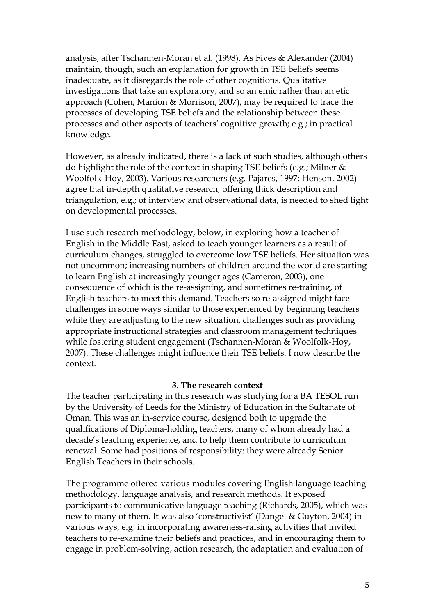analysis, after Tschannen-Moran et al. (1998). As Fives & Alexander (2004) maintain, though, such an explanation for growth in TSE beliefs seems inadequate, as it disregards the role of other cognitions. Qualitative investigations that take an exploratory, and so an emic rather than an etic approach (Cohen, Manion & Morrison, 2007), may be required to trace the processes of developing TSE beliefs and the relationship between these processes and other aspects of teachers' cognitive growth; e.g.; in practical knowledge.

However, as already indicated, there is a lack of such studies, although others do highlight the role of the context in shaping TSE beliefs (e.g.; Milner & Woolfolk-Hoy, 2003). Various researchers (e.g. Pajares, 1997; Henson, 2002) agree that in-depth qualitative research, offering thick description and triangulation, e.g.; of interview and observational data, is needed to shed light on developmental processes.

I use such research methodology, below, in exploring how a teacher of English in the Middle East, asked to teach younger learners as a result of curriculum changes, struggled to overcome low TSE beliefs. Her situation was not uncommon; increasing numbers of children around the world are starting to learn English at increasingly younger ages (Cameron, 2003), one consequence of which is the re-assigning, and sometimes re-training, of English teachers to meet this demand. Teachers so re-assigned might face challenges in some ways similar to those experienced by beginning teachers while they are adjusting to the new situation, challenges such as providing appropriate instructional strategies and classroom management techniques while fostering student engagement (Tschannen-Moran & Woolfolk-Hoy, 2007). These challenges might influence their TSE beliefs. I now describe the context.

#### **3. The research context**

The teacher participating in this research was studying for a BA TESOL run by the University of Leeds for the Ministry of Education in the Sultanate of Oman. This was an in-service course, designed both to upgrade the qualifications of Diploma-holding teachers, many of whom already had a decade's teaching experience, and to help them contribute to curriculum renewal. Some had positions of responsibility: they were already Senior English Teachers in their schools.

The programme offered various modules covering English language teaching methodology, language analysis, and research methods. It exposed participants to communicative language teaching (Richards, 2005), which was new to many of them. It was also 'constructivist' (Dangel & Guyton, 2004) in various ways, e.g. in incorporating awareness-raising activities that invited teachers to re-examine their beliefs and practices, and in encouraging them to engage in problem-solving, action research, the adaptation and evaluation of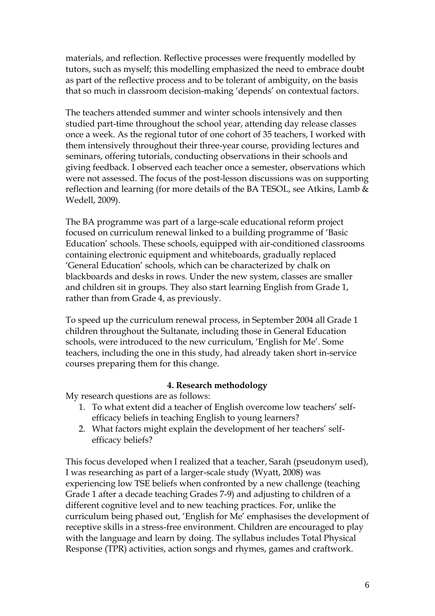materials, and reflection. Reflective processes were frequently modelled by tutors, such as myself; this modelling emphasized the need to embrace doubt as part of the reflective process and to be tolerant of ambiguity, on the basis that so much in classroom decision-making 'depends' on contextual factors.

The teachers attended summer and winter schools intensively and then studied part-time throughout the school year, attending day release classes once a week. As the regional tutor of one cohort of 35 teachers, I worked with them intensively throughout their three-year course, providing lectures and seminars, offering tutorials, conducting observations in their schools and giving feedback. I observed each teacher once a semester, observations which were not assessed. The focus of the post-lesson discussions was on supporting reflection and learning (for more details of the BA TESOL, see Atkins, Lamb & Wedell, 2009).

The BA programme was part of a large-scale educational reform project focused on curriculum renewal linked to a building programme of 'Basic Education' schools. These schools, equipped with air-conditioned classrooms containing electronic equipment and whiteboards, gradually replaced 'General Education' schools, which can be characterized by chalk on blackboards and desks in rows. Under the new system, classes are smaller and children sit in groups. They also start learning English from Grade 1, rather than from Grade 4, as previously.

To speed up the curriculum renewal process, in September 2004 all Grade 1 children throughout the Sultanate, including those in General Education schools, were introduced to the new curriculum, 'English for Me'. Some teachers, including the one in this study, had already taken short in-service courses preparing them for this change.

## **4. Research methodology**

My research questions are as follows:

- 1. To what extent did a teacher of English overcome low teachers' selfefficacy beliefs in teaching English to young learners?
- 2. What factors might explain the development of her teachers' selfefficacy beliefs?

This focus developed when I realized that a teacher, Sarah (pseudonym used), I was researching as part of a larger-scale study (Wyatt, 2008) was experiencing low TSE beliefs when confronted by a new challenge (teaching Grade 1 after a decade teaching Grades 7-9) and adjusting to children of a different cognitive level and to new teaching practices. For, unlike the curriculum being phased out, 'English for Me' emphasises the development of receptive skills in a stress-free environment. Children are encouraged to play with the language and learn by doing. The syllabus includes Total Physical Response (TPR) activities, action songs and rhymes, games and craftwork.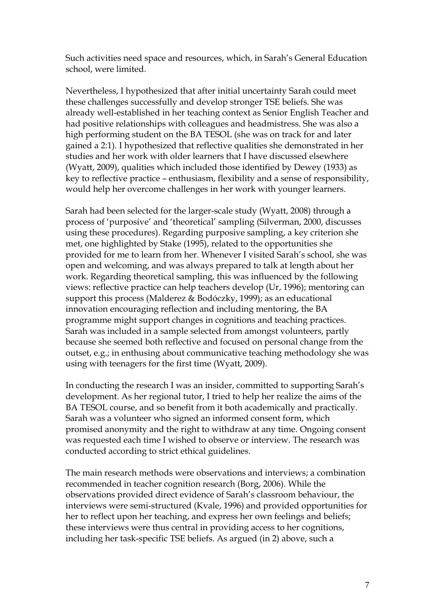Such activities need space and resources, which, in Sarah's General Education school, were limited.

Nevertheless, I hypothesized that after initial uncertainty Sarah could meet these challenges successfully and develop stronger TSE beliefs. She was already well-established in her teaching context as Senior English Teacher and had positive relationships with colleagues and headmistress. She was also a high performing student on the BA TESOL (she was on track for and later gained a 2:1). I hypothesized that reflective qualities she demonstrated in her studies and her work with older learners that I have discussed elsewhere (Wyatt, 2009), qualities which included those identified by Dewey (1933) as key to reflective practice – enthusiasm, flexibility and a sense of responsibility, would help her overcome challenges in her work with younger learners.

Sarah had been selected for the larger-scale study (Wyatt, 2008) through a process of 'purposive' and 'theoretical' sampling (Silverman, 2000, discusses using these procedures). Regarding purposive sampling, a key criterion she met, one highlighted by Stake (1995), related to the opportunities she provided for me to learn from her. Whenever I visited Sarah's school, she was open and welcoming, and was always prepared to talk at length about her work. Regarding theoretical sampling, this was influenced by the following views: reflective practice can help teachers develop (Ur, 1996); mentoring can support this process (Malderez & Bodóczky, 1999); as an educational innovation encouraging reflection and including mentoring, the BA programme might support changes in cognitions and teaching practices. Sarah was included in a sample selected from amongst volunteers, partly because she seemed both reflective and focused on personal change from the outset, e.g.; in enthusing about communicative teaching methodology she was using with teenagers for the first time (Wyatt, 2009).

In conducting the research I was an insider, committed to supporting Sarah's development. As her regional tutor, I tried to help her realize the aims of the BA TESOL course, and so benefit from it both academically and practically. Sarah was a volunteer who signed an informed consent form, which promised anonymity and the right to withdraw at any time. Ongoing consent was requested each time I wished to observe or interview. The research was conducted according to strict ethical guidelines.

The main research methods were observations and interviews; a combination recommended in teacher cognition research (Borg, 2006). While the observations provided direct evidence of Sarah's classroom behaviour, the interviews were semi-structured (Kvale, 1996) and provided opportunities for her to reflect upon her teaching, and express her own feelings and beliefs; these interviews were thus central in providing access to her cognitions, including her task-specific TSE beliefs. As argued (in 2) above, such a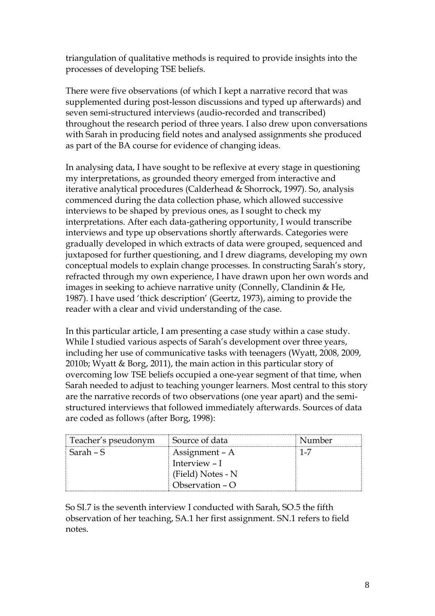triangulation of qualitative methods is required to provide insights into the processes of developing TSE beliefs.

There were five observations (of which I kept a narrative record that was supplemented during post-lesson discussions and typed up afterwards) and seven semi-structured interviews (audio-recorded and transcribed) throughout the research period of three years. I also drew upon conversations with Sarah in producing field notes and analysed assignments she produced as part of the BA course for evidence of changing ideas.

In analysing data, I have sought to be reflexive at every stage in questioning my interpretations, as grounded theory emerged from interactive and iterative analytical procedures (Calderhead & Shorrock, 1997). So, analysis commenced during the data collection phase, which allowed successive interviews to be shaped by previous ones, as I sought to check my interpretations. After each data-gathering opportunity, I would transcribe interviews and type up observations shortly afterwards. Categories were gradually developed in which extracts of data were grouped, sequenced and juxtaposed for further questioning, and I drew diagrams, developing my own conceptual models to explain change processes. In constructing Sarah's story, refracted through my own experience, I have drawn upon her own words and images in seeking to achieve narrative unity (Connelly, Clandinin & He, 1987). I have used 'thick description' (Geertz, 1973), aiming to provide the reader with a clear and vivid understanding of the case.

In this particular article, I am presenting a case study within a case study. While I studied various aspects of Sarah's development over three years, including her use of communicative tasks with teenagers (Wyatt, 2008, 2009, 2010b; Wyatt & Borg, 2011), the main action in this particular story of overcoming low TSE beliefs occupied a one-year segment of that time, when Sarah needed to adjust to teaching younger learners. Most central to this story are the narrative records of two observations (one year apart) and the semistructured interviews that followed immediately afterwards. Sources of data are coded as follows (after Borg, 1998):

| Teacher's pseudonym | Source of data    | Number  |
|---------------------|-------------------|---------|
| Sarah – S           | Assignment – A    | $1 - 7$ |
|                     | Interview – I     |         |
|                     | (Field) Notes - N |         |
|                     | Observation $-$ O |         |

So SI.7 is the seventh interview I conducted with Sarah, SO.5 the fifth observation of her teaching, SA.1 her first assignment. SN.1 refers to field notes.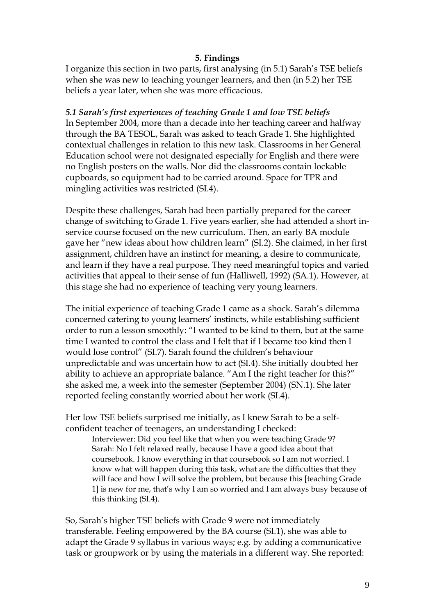## **5. Findings**

I organize this section in two parts, first analysing (in 5.1) Sarah's TSE beliefs when she was new to teaching younger learners, and then (in 5.2) her TSE beliefs a year later, when she was more efficacious.

*5.1 Sarah's first experiences of teaching Grade 1 and low TSE beliefs* In September 2004, more than a decade into her teaching career and halfway through the BA TESOL, Sarah was asked to teach Grade 1. She highlighted contextual challenges in relation to this new task. Classrooms in her General Education school were not designated especially for English and there were no English posters on the walls. Nor did the classrooms contain lockable cupboards, so equipment had to be carried around. Space for TPR and mingling activities was restricted (SI.4).

Despite these challenges, Sarah had been partially prepared for the career change of switching to Grade 1. Five years earlier, she had attended a short inservice course focused on the new curriculum. Then, an early BA module gave her "new ideas about how children learn" (SI.2). She claimed, in her first assignment, children have an instinct for meaning, a desire to communicate, and learn if they have a real purpose. They need meaningful topics and varied activities that appeal to their sense of fun (Halliwell, 1992) (SA.1). However, at this stage she had no experience of teaching very young learners.

The initial experience of teaching Grade 1 came as a shock. Sarah's dilemma concerned catering to young learners' instincts, while establishing sufficient order to run a lesson smoothly: "I wanted to be kind to them, but at the same time I wanted to control the class and I felt that if I became too kind then I would lose control" (SI.7). Sarah found the children's behaviour unpredictable and was uncertain how to act (SI.4). She initially doubted her ability to achieve an appropriate balance. "Am I the right teacher for this?" she asked me, a week into the semester (September 2004) (SN.1). She later reported feeling constantly worried about her work (SI.4).

Her low TSE beliefs surprised me initially, as I knew Sarah to be a selfconfident teacher of teenagers, an understanding I checked:

Interviewer: Did you feel like that when you were teaching Grade 9? Sarah: No I felt relaxed really, because I have a good idea about that coursebook. I know everything in that coursebook so I am not worried. I know what will happen during this task, what are the difficulties that they will face and how I will solve the problem, but because this [teaching Grade 1] is new for me, that's why I am so worried and I am always busy because of this thinking (SI.4).

So, Sarah's higher TSE beliefs with Grade 9 were not immediately transferable. Feeling empowered by the BA course (SI.1), she was able to adapt the Grade 9 syllabus in various ways; e.g. by adding a communicative task or groupwork or by using the materials in a different way. She reported: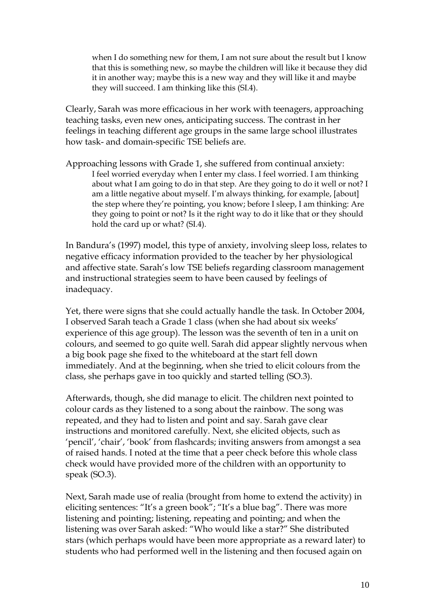when I do something new for them, I am not sure about the result but I know that this is something new, so maybe the children will like it because they did it in another way; maybe this is a new way and they will like it and maybe they will succeed. I am thinking like this (SI.4).

Clearly, Sarah was more efficacious in her work with teenagers, approaching teaching tasks, even new ones, anticipating success. The contrast in her feelings in teaching different age groups in the same large school illustrates how task- and domain-specific TSE beliefs are.

Approaching lessons with Grade 1, she suffered from continual anxiety: I feel worried everyday when I enter my class. I feel worried. I am thinking about what I am going to do in that step. Are they going to do it well or not? I am a little negative about myself. I'm always thinking, for example, [about] the step where they're pointing, you know; before I sleep, I am thinking: Are they going to point or not? Is it the right way to do it like that or they should hold the card up or what? (SI.4).

In Bandura's (1997) model, this type of anxiety, involving sleep loss, relates to negative efficacy information provided to the teacher by her physiological and affective state. Sarah's low TSE beliefs regarding classroom management and instructional strategies seem to have been caused by feelings of inadequacy.

Yet, there were signs that she could actually handle the task. In October 2004, I observed Sarah teach a Grade 1 class (when she had about six weeks' experience of this age group). The lesson was the seventh of ten in a unit on colours, and seemed to go quite well. Sarah did appear slightly nervous when a big book page she fixed to the whiteboard at the start fell down immediately. And at the beginning, when she tried to elicit colours from the class, she perhaps gave in too quickly and started telling (SO.3).

Afterwards, though, she did manage to elicit. The children next pointed to colour cards as they listened to a song about the rainbow. The song was repeated, and they had to listen and point and say. Sarah gave clear instructions and monitored carefully. Next, she elicited objects, such as 'pencil', 'chair', 'book' from flashcards; inviting answers from amongst a sea of raised hands. I noted at the time that a peer check before this whole class check would have provided more of the children with an opportunity to speak (SO.3).

Next, Sarah made use of realia (brought from home to extend the activity) in eliciting sentences: "It's a green book"; "It's a blue bag". There was more listening and pointing; listening, repeating and pointing; and when the listening was over Sarah asked: "Who would like a star?" She distributed stars (which perhaps would have been more appropriate as a reward later) to students who had performed well in the listening and then focused again on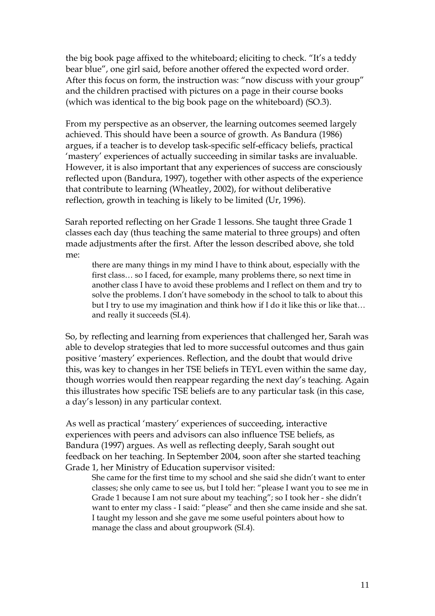the big book page affixed to the whiteboard; eliciting to check. "It's a teddy bear blue", one girl said, before another offered the expected word order. After this focus on form, the instruction was: "now discuss with your group" and the children practised with pictures on a page in their course books (which was identical to the big book page on the whiteboard) (SO.3).

From my perspective as an observer, the learning outcomes seemed largely achieved. This should have been a source of growth. As Bandura (1986) argues, if a teacher is to develop task-specific self-efficacy beliefs, practical 'mastery' experiences of actually succeeding in similar tasks are invaluable. However, it is also important that any experiences of success are consciously reflected upon (Bandura, 1997), together with other aspects of the experience that contribute to learning (Wheatley, 2002), for without deliberative reflection, growth in teaching is likely to be limited (Ur, 1996).

Sarah reported reflecting on her Grade 1 lessons. She taught three Grade 1 classes each day (thus teaching the same material to three groups) and often made adjustments after the first. After the lesson described above, she told me:

there are many things in my mind I have to think about, especially with the first class… so I faced, for example, many problems there, so next time in another class I have to avoid these problems and I reflect on them and try to solve the problems. I don't have somebody in the school to talk to about this but I try to use my imagination and think how if I do it like this or like that… and really it succeeds (SI.4).

So, by reflecting and learning from experiences that challenged her, Sarah was able to develop strategies that led to more successful outcomes and thus gain positive 'mastery' experiences. Reflection, and the doubt that would drive this, was key to changes in her TSE beliefs in TEYL even within the same day, though worries would then reappear regarding the next day's teaching. Again this illustrates how specific TSE beliefs are to any particular task (in this case, a day's lesson) in any particular context.

As well as practical 'mastery' experiences of succeeding, interactive experiences with peers and advisors can also influence TSE beliefs, as Bandura (1997) argues. As well as reflecting deeply, Sarah sought out feedback on her teaching. In September 2004, soon after she started teaching Grade 1, her Ministry of Education supervisor visited:

She came for the first time to my school and she said she didn't want to enter classes; she only came to see us, but I told her: "please I want you to see me in Grade 1 because I am not sure about my teaching"; so I took her - she didn't want to enter my class - I said: "please" and then she came inside and she sat. I taught my lesson and she gave me some useful pointers about how to manage the class and about groupwork (SI.4).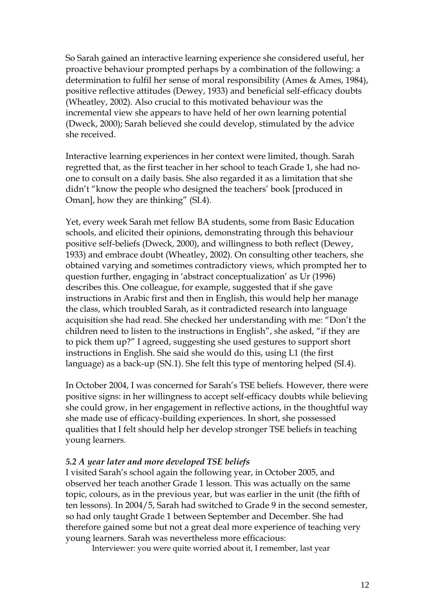So Sarah gained an interactive learning experience she considered useful, her proactive behaviour prompted perhaps by a combination of the following: a determination to fulfil her sense of moral responsibility (Ames & Ames, 1984), positive reflective attitudes (Dewey, 1933) and beneficial self-efficacy doubts (Wheatley, 2002). Also crucial to this motivated behaviour was the incremental view she appears to have held of her own learning potential (Dweck, 2000); Sarah believed she could develop, stimulated by the advice she received.

Interactive learning experiences in her context were limited, though. Sarah regretted that, as the first teacher in her school to teach Grade 1, she had noone to consult on a daily basis. She also regarded it as a limitation that she didn't "know the people who designed the teachers' book [produced in Oman], how they are thinking" (SI.4).

Yet, every week Sarah met fellow BA students, some from Basic Education schools, and elicited their opinions, demonstrating through this behaviour positive self-beliefs (Dweck, 2000), and willingness to both reflect (Dewey, 1933) and embrace doubt (Wheatley, 2002). On consulting other teachers, she obtained varying and sometimes contradictory views, which prompted her to question further, engaging in 'abstract conceptualization' as Ur (1996) describes this. One colleague, for example, suggested that if she gave instructions in Arabic first and then in English, this would help her manage the class, which troubled Sarah, as it contradicted research into language acquisition she had read. She checked her understanding with me: "Don't the children need to listen to the instructions in English", she asked, "if they are to pick them up?" I agreed, suggesting she used gestures to support short instructions in English. She said she would do this, using L1 (the first language) as a back-up (SN.1). She felt this type of mentoring helped (SI.4).

In October 2004, I was concerned for Sarah's TSE beliefs. However, there were positive signs: in her willingness to accept self-efficacy doubts while believing she could grow, in her engagement in reflective actions, in the thoughtful way she made use of efficacy-building experiences. In short, she possessed qualities that I felt should help her develop stronger TSE beliefs in teaching young learners.

### *5.2 A year later and more developed TSE beliefs*

I visited Sarah's school again the following year, in October 2005, and observed her teach another Grade 1 lesson. This was actually on the same topic, colours, as in the previous year, but was earlier in the unit (the fifth of ten lessons). In 2004/5, Sarah had switched to Grade 9 in the second semester, so had only taught Grade 1 between September and December. She had therefore gained some but not a great deal more experience of teaching very young learners. Sarah was nevertheless more efficacious:

Interviewer: you were quite worried about it, I remember, last year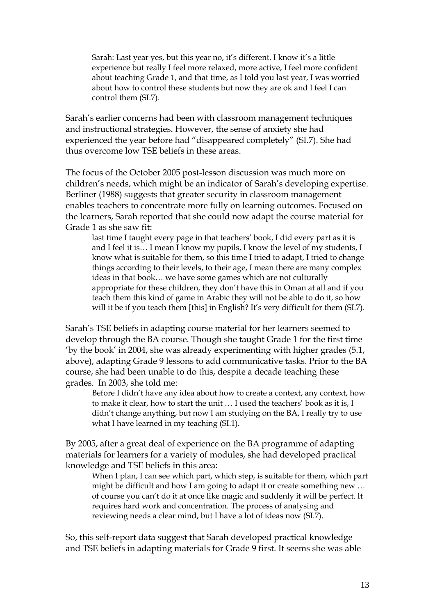Sarah: Last year yes, but this year no, it's different. I know it's a little experience but really I feel more relaxed, more active, I feel more confident about teaching Grade 1, and that time, as I told you last year, I was worried about how to control these students but now they are ok and I feel I can control them (SI.7).

Sarah's earlier concerns had been with classroom management techniques and instructional strategies. However, the sense of anxiety she had experienced the year before had "disappeared completely" (SI.7). She had thus overcome low TSE beliefs in these areas.

The focus of the October 2005 post-lesson discussion was much more on children's needs, which might be an indicator of Sarah's developing expertise. Berliner (1988) suggests that greater security in classroom management enables teachers to concentrate more fully on learning outcomes. Focused on the learners, Sarah reported that she could now adapt the course material for Grade 1 as she saw fit:

last time I taught every page in that teachers' book, I did every part as it is and I feel it is… I mean I know my pupils, I know the level of my students, I know what is suitable for them, so this time I tried to adapt, I tried to change things according to their levels, to their age, I mean there are many complex ideas in that book… we have some games which are not culturally appropriate for these children, they don't have this in Oman at all and if you teach them this kind of game in Arabic they will not be able to do it, so how will it be if you teach them [this] in English? It's very difficult for them (SI.7).

Sarah's TSE beliefs in adapting course material for her learners seemed to develop through the BA course. Though she taught Grade 1 for the first time 'by the book' in 2004, she was already experimenting with higher grades (5.1, above), adapting Grade 9 lessons to add communicative tasks. Prior to the BA course, she had been unable to do this, despite a decade teaching these grades. In 2003, she told me:

Before I didn't have any idea about how to create a context, any context, how to make it clear, how to start the unit … I used the teachers' book as it is, I didn't change anything, but now I am studying on the BA, I really try to use what I have learned in my teaching (SI.1).

By 2005, after a great deal of experience on the BA programme of adapting materials for learners for a variety of modules, she had developed practical knowledge and TSE beliefs in this area:

When I plan, I can see which part, which step, is suitable for them, which part might be difficult and how I am going to adapt it or create something new … of course you can't do it at once like magic and suddenly it will be perfect. It requires hard work and concentration. The process of analysing and reviewing needs a clear mind, but I have a lot of ideas now (SI.7).

So, this self-report data suggest that Sarah developed practical knowledge and TSE beliefs in adapting materials for Grade 9 first. It seems she was able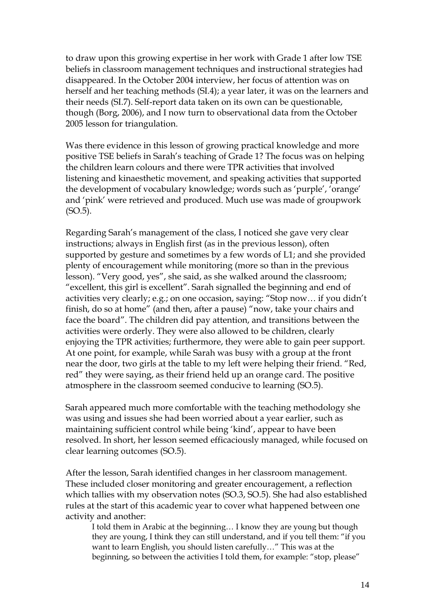to draw upon this growing expertise in her work with Grade 1 after low TSE beliefs in classroom management techniques and instructional strategies had disappeared. In the October 2004 interview, her focus of attention was on herself and her teaching methods (SI.4); a year later, it was on the learners and their needs (SI.7). Self-report data taken on its own can be questionable, though (Borg, 2006), and I now turn to observational data from the October 2005 lesson for triangulation.

Was there evidence in this lesson of growing practical knowledge and more positive TSE beliefs in Sarah's teaching of Grade 1? The focus was on helping the children learn colours and there were TPR activities that involved listening and kinaesthetic movement, and speaking activities that supported the development of vocabulary knowledge; words such as 'purple', 'orange' and 'pink' were retrieved and produced. Much use was made of groupwork (SO.5).

Regarding Sarah's management of the class, I noticed she gave very clear instructions; always in English first (as in the previous lesson), often supported by gesture and sometimes by a few words of L1; and she provided plenty of encouragement while monitoring (more so than in the previous lesson). "Very good, yes", she said, as she walked around the classroom; "excellent, this girl is excellent". Sarah signalled the beginning and end of activities very clearly; e.g.; on one occasion, saying: "Stop now… if you didn't finish, do so at home" (and then, after a pause) "now, take your chairs and face the board". The children did pay attention, and transitions between the activities were orderly. They were also allowed to be children, clearly enjoying the TPR activities; furthermore, they were able to gain peer support. At one point, for example, while Sarah was busy with a group at the front near the door, two girls at the table to my left were helping their friend. "Red, red" they were saying, as their friend held up an orange card. The positive atmosphere in the classroom seemed conducive to learning (SO.5).

Sarah appeared much more comfortable with the teaching methodology she was using and issues she had been worried about a year earlier, such as maintaining sufficient control while being 'kind', appear to have been resolved. In short, her lesson seemed efficaciously managed, while focused on clear learning outcomes (SO.5).

After the lesson, Sarah identified changes in her classroom management. These included closer monitoring and greater encouragement, a reflection which tallies with my observation notes (SO.3, SO.5). She had also established rules at the start of this academic year to cover what happened between one activity and another:

I told them in Arabic at the beginning… I know they are young but though they are young, I think they can still understand, and if you tell them: "if you want to learn English, you should listen carefully…" This was at the beginning, so between the activities I told them, for example: "stop, please"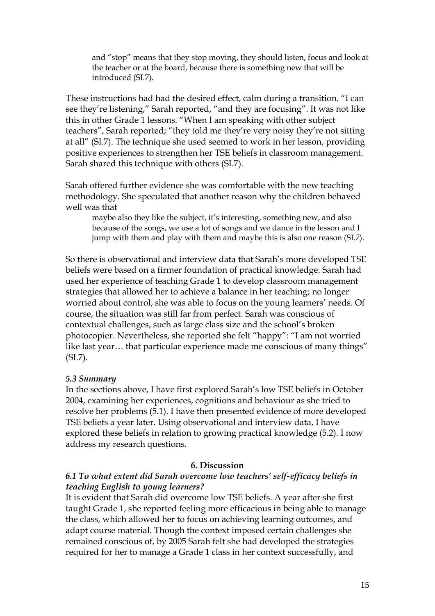and "stop" means that they stop moving, they should listen, focus and look at the teacher or at the board, because there is something new that will be introduced (SI.7).

These instructions had had the desired effect, calm during a transition. "I can see they're listening," Sarah reported, "and they are focusing". It was not like this in other Grade 1 lessons. "When I am speaking with other subject teachers", Sarah reported; "they told me they're very noisy they're not sitting at all" (SI.7). The technique she used seemed to work in her lesson, providing positive experiences to strengthen her TSE beliefs in classroom management. Sarah shared this technique with others (SI.7).

Sarah offered further evidence she was comfortable with the new teaching methodology. She speculated that another reason why the children behaved well was that

maybe also they like the subject, it's interesting, something new, and also because of the songs, we use a lot of songs and we dance in the lesson and I jump with them and play with them and maybe this is also one reason (SI.7).

So there is observational and interview data that Sarah's more developed TSE beliefs were based on a firmer foundation of practical knowledge. Sarah had used her experience of teaching Grade 1 to develop classroom management strategies that allowed her to achieve a balance in her teaching; no longer worried about control, she was able to focus on the young learners' needs. Of course, the situation was still far from perfect. Sarah was conscious of contextual challenges, such as large class size and the school's broken photocopier. Nevertheless, she reported she felt "happy": "I am not worried like last year... that particular experience made me conscious of many things" (SI.7).

### *5.3 Summary*

In the sections above, I have first explored Sarah's low TSE beliefs in October 2004, examining her experiences, cognitions and behaviour as she tried to resolve her problems (5.1). I have then presented evidence of more developed TSE beliefs a year later. Using observational and interview data, I have explored these beliefs in relation to growing practical knowledge (5.2). I now address my research questions.

### **6. Discussion**

## *6.1 To what extent did Sarah overcome low teachers' self-efficacy beliefs in teaching English to young learners?*

It is evident that Sarah did overcome low TSE beliefs. A year after she first taught Grade 1, she reported feeling more efficacious in being able to manage the class, which allowed her to focus on achieving learning outcomes, and adapt course material. Though the context imposed certain challenges she remained conscious of, by 2005 Sarah felt she had developed the strategies required for her to manage a Grade 1 class in her context successfully, and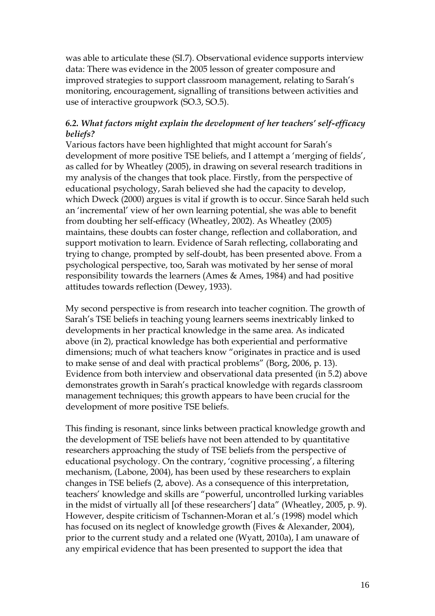was able to articulate these (SI.7). Observational evidence supports interview data: There was evidence in the 2005 lesson of greater composure and improved strategies to support classroom management, relating to Sarah's monitoring, encouragement, signalling of transitions between activities and use of interactive groupwork (SO.3, SO.5).

# *6.2. What factors might explain the development of her teachers' self-efficacy beliefs?*

Various factors have been highlighted that might account for Sarah's development of more positive TSE beliefs, and I attempt a 'merging of fields', as called for by Wheatley (2005), in drawing on several research traditions in my analysis of the changes that took place. Firstly, from the perspective of educational psychology, Sarah believed she had the capacity to develop, which Dweck (2000) argues is vital if growth is to occur. Since Sarah held such an 'incremental' view of her own learning potential, she was able to benefit from doubting her self-efficacy (Wheatley, 2002). As Wheatley (2005) maintains, these doubts can foster change, reflection and collaboration, and support motivation to learn. Evidence of Sarah reflecting, collaborating and trying to change, prompted by self-doubt, has been presented above. From a psychological perspective, too, Sarah was motivated by her sense of moral responsibility towards the learners (Ames & Ames, 1984) and had positive attitudes towards reflection (Dewey, 1933).

My second perspective is from research into teacher cognition. The growth of Sarah's TSE beliefs in teaching young learners seems inextricably linked to developments in her practical knowledge in the same area. As indicated above (in 2), practical knowledge has both experiential and performative dimensions; much of what teachers know "originates in practice and is used to make sense of and deal with practical problems" (Borg, 2006, p. 13). Evidence from both interview and observational data presented (in 5.2) above demonstrates growth in Sarah's practical knowledge with regards classroom management techniques; this growth appears to have been crucial for the development of more positive TSE beliefs.

This finding is resonant, since links between practical knowledge growth and the development of TSE beliefs have not been attended to by quantitative researchers approaching the study of TSE beliefs from the perspective of educational psychology. On the contrary, 'cognitive processing', a filtering mechanism, (Labone, 2004), has been used by these researchers to explain changes in TSE beliefs (2, above). As a consequence of this interpretation, teachers' knowledge and skills are "powerful, uncontrolled lurking variables in the midst of virtually all [of these researchers'] data" (Wheatley, 2005, p. 9). However, despite criticism of Tschannen-Moran et al.'s (1998) model which has focused on its neglect of knowledge growth (Fives & Alexander, 2004), prior to the current study and a related one (Wyatt, 2010a), I am unaware of any empirical evidence that has been presented to support the idea that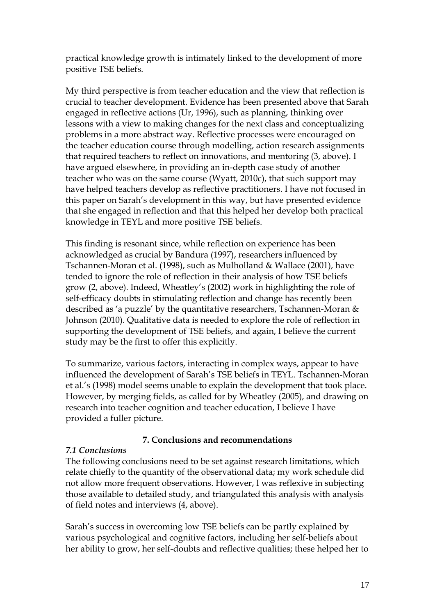practical knowledge growth is intimately linked to the development of more positive TSE beliefs.

My third perspective is from teacher education and the view that reflection is crucial to teacher development. Evidence has been presented above that Sarah engaged in reflective actions (Ur, 1996), such as planning, thinking over lessons with a view to making changes for the next class and conceptualizing problems in a more abstract way. Reflective processes were encouraged on the teacher education course through modelling, action research assignments that required teachers to reflect on innovations, and mentoring (3, above). I have argued elsewhere, in providing an in-depth case study of another teacher who was on the same course (Wyatt, 2010c), that such support may have helped teachers develop as reflective practitioners. I have not focused in this paper on Sarah's development in this way, but have presented evidence that she engaged in reflection and that this helped her develop both practical knowledge in TEYL and more positive TSE beliefs.

This finding is resonant since, while reflection on experience has been acknowledged as crucial by Bandura (1997), researchers influenced by Tschannen-Moran et al. (1998), such as Mulholland & Wallace (2001), have tended to ignore the role of reflection in their analysis of how TSE beliefs grow (2, above). Indeed, Wheatley's (2002) work in highlighting the role of self-efficacy doubts in stimulating reflection and change has recently been described as 'a puzzle' by the quantitative researchers, Tschannen-Moran & Johnson (2010). Qualitative data is needed to explore the role of reflection in supporting the development of TSE beliefs, and again, I believe the current study may be the first to offer this explicitly.

To summarize, various factors, interacting in complex ways, appear to have influenced the development of Sarah's TSE beliefs in TEYL. Tschannen-Moran et al.'s (1998) model seems unable to explain the development that took place. However, by merging fields, as called for by Wheatley (2005), and drawing on research into teacher cognition and teacher education, I believe I have provided a fuller picture.

# **7. Conclusions and recommendations**

# *7.1 Conclusions*

The following conclusions need to be set against research limitations, which relate chiefly to the quantity of the observational data; my work schedule did not allow more frequent observations. However, I was reflexive in subjecting those available to detailed study, and triangulated this analysis with analysis of field notes and interviews (4, above).

Sarah's success in overcoming low TSE beliefs can be partly explained by various psychological and cognitive factors, including her self-beliefs about her ability to grow, her self-doubts and reflective qualities; these helped her to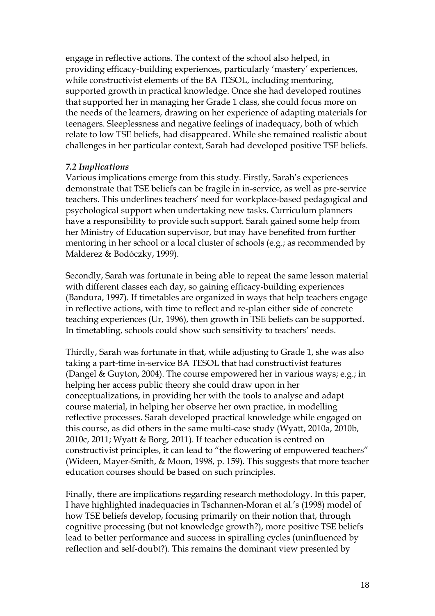engage in reflective actions. The context of the school also helped, in providing efficacy-building experiences, particularly 'mastery' experiences, while constructivist elements of the BA TESOL, including mentoring, supported growth in practical knowledge. Once she had developed routines that supported her in managing her Grade 1 class, she could focus more on the needs of the learners, drawing on her experience of adapting materials for teenagers. Sleeplessness and negative feelings of inadequacy, both of which relate to low TSE beliefs, had disappeared. While she remained realistic about challenges in her particular context, Sarah had developed positive TSE beliefs.

## *7.2 Implications*

Various implications emerge from this study. Firstly, Sarah's experiences demonstrate that TSE beliefs can be fragile in in-service, as well as pre-service teachers. This underlines teachers' need for workplace-based pedagogical and psychological support when undertaking new tasks. Curriculum planners have a responsibility to provide such support. Sarah gained some help from her Ministry of Education supervisor, but may have benefited from further mentoring in her school or a local cluster of schools (e.g.; as recommended by Malderez & Bodóczky, 1999).

Secondly, Sarah was fortunate in being able to repeat the same lesson material with different classes each day, so gaining efficacy-building experiences (Bandura, 1997). If timetables are organized in ways that help teachers engage in reflective actions, with time to reflect and re-plan either side of concrete teaching experiences (Ur, 1996), then growth in TSE beliefs can be supported. In timetabling, schools could show such sensitivity to teachers' needs.

Thirdly, Sarah was fortunate in that, while adjusting to Grade 1, she was also taking a part-time in-service BA TESOL that had constructivist features (Dangel & Guyton, 2004). The course empowered her in various ways; e.g.; in helping her access public theory she could draw upon in her conceptualizations, in providing her with the tools to analyse and adapt course material, in helping her observe her own practice, in modelling reflective processes. Sarah developed practical knowledge while engaged on this course, as did others in the same multi-case study (Wyatt, 2010a, 2010b, 2010c, 2011; Wyatt & Borg, 2011). If teacher education is centred on constructivist principles, it can lead to "the flowering of empowered teachers" (Wideen, Mayer-Smith, & Moon, 1998, p. 159). This suggests that more teacher education courses should be based on such principles.

Finally, there are implications regarding research methodology. In this paper, I have highlighted inadequacies in Tschannen-Moran et al.'s (1998) model of how TSE beliefs develop, focusing primarily on their notion that, through cognitive processing (but not knowledge growth?), more positive TSE beliefs lead to better performance and success in spiralling cycles (uninfluenced by reflection and self-doubt?). This remains the dominant view presented by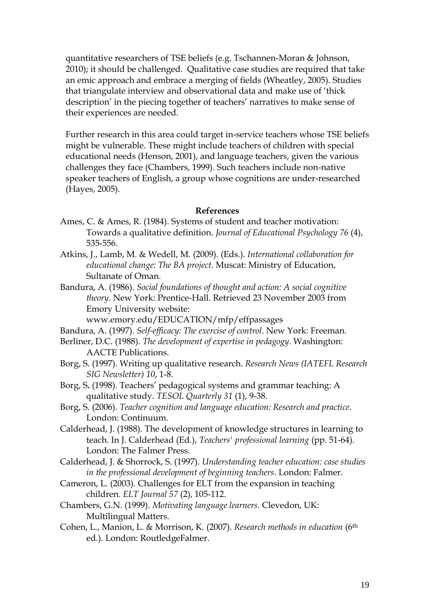quantitative researchers of TSE beliefs (e.g. Tschannen-Moran & Johnson, 2010); it should be challenged. Qualitative case studies are required that take an emic approach and embrace a merging of fields (Wheatley, 2005). Studies that triangulate interview and observational data and make use of 'thick description' in the piecing together of teachers' narratives to make sense of their experiences are needed.

Further research in this area could target in-service teachers whose TSE beliefs might be vulnerable. These might include teachers of children with special educational needs (Henson, 2001), and language teachers, given the various challenges they face (Chambers, 1999). Such teachers include non-native speaker teachers of English, a group whose cognitions are under-researched (Hayes, 2005).

#### **References**

- Ames, C. & Ames, R. (1984). Systems of student and teacher motivation: Towards a qualitative definition. *Journal of Educational Psychology 76* (4), 535-556.
- Atkins, J., Lamb, M. & Wedell, M. (2009). (Eds.). *International collaboration for educational change: The BA project*. Muscat: Ministry of Education, Sultanate of Oman.
- Bandura, A. (1986). *Social foundations of thought and action: A social cognitive theory*. New York: Prentice-Hall. Retrieved 23 November 2003 from Emory University website:

www.emory.edu/EDUCATION/mfp/effpassages

- Bandura, A. (1997). *Self-efficacy: The exercise of control*. New York: Freeman.
- Berliner, D.C. (1988). *The development of expertise in pedagogy.* Washington: AACTE Publications.
- Borg, S. (1997). Writing up qualitative research. *Research News (IATEFL Research SIG Newsletter) 10*, 1-8.
- Borg, S**.** (1998). Teachers' pedagogical systems and grammar teaching: A qualitative study. *TESOL Quarterly 31* (1), 9-38.
- Borg, S. (2006). *Teacher cognition and language education: Research and practice.* London: Continuum.
- Calderhead, J. (1988). The development of knowledge structures in learning to teach. In J. Calderhead (Ed.), *Teachers' professional learning* (pp. 51-64). London: The Falmer Press.
- Calderhead, J. & Shorrock, S. (1997). *Understanding teacher education: case studies in the professional development of beginning teachers*. London: Falmer.
- Cameron, L. (2003). Challenges for ELT from the expansion in teaching children. *ELT Journal 57* (2), 105-112.
- Chambers, G.N. (1999). *Motivating language learners.* Clevedon, UK: Multilingual Matters.
- Cohen, L., Manion, L. & Morrison, K. (2007). *Research methods in education* (6th ed.). London: RoutledgeFalmer.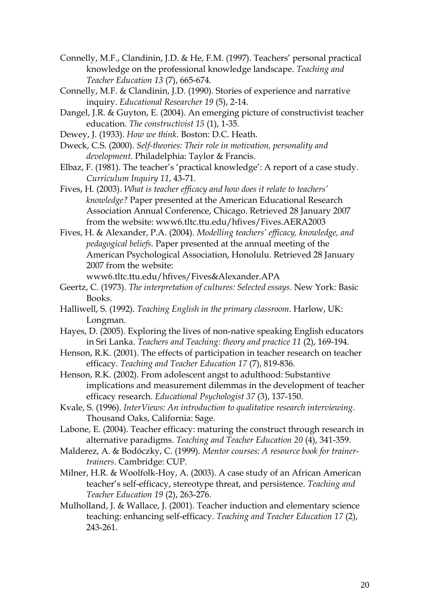- Connelly, M.F., Clandinin, J.D. & He, F.M. (1997). Teachers' personal practical knowledge on the professional knowledge landscape. *Teaching and Teacher Education 13* (7), 665-674.
- Connelly, M.F. & Clandinin, J.D. (1990). Stories of experience and narrative inquiry. *Educational Researcher 19* (5), 2-14.
- Dangel, J.R. & Guyton, E. (2004). An emerging picture of constructivist teacher education. *The constructivist 15* (1), 1-35.
- Dewey, J. (1933). *How we think.* Boston: D.C. Heath.
- Dweck, C.S. (2000). *Self-theories: Their role in motivation, personality and development.* Philadelphia: Taylor & Francis.
- Elbaz, F. (1981). The teacher's 'practical knowledge': A report of a case study. *Curriculum Inquiry 11*, 43-71.

Fives, H. (2003). *What is teacher efficacy and how does it relate to teachers' knowledge?* Paper presented at the American Educational Research Association Annual Conference, Chicago. Retrieved 28 January 2007 from the website: www6.tltc.ttu.edu/hfives/Fives.AERA2003

Fives, H. & Alexander, P.A. (2004). *Modelling teachers' efficacy, knowledge, and pedagogical beliefs.* Paper presented at the annual meeting of the American Psychological Association, Honolulu. Retrieved 28 January 2007 from the website:

www6.tltc.ttu.edu/hfives/Fives&Alexander.APA

- Geertz, C. (1973). *The interpretation of cultures: Selected essays.* New York: Basic Books.
- Halliwell, S. (1992). *Teaching English in the primary classroom*. Harlow, UK: Longman.
- Hayes, D. (2005). Exploring the lives of non-native speaking English educators in Sri Lanka. *Teachers and Teaching: theory and practice 11* (2), 169-194.
- Henson, R.K. (2001). The effects of participation in teacher research on teacher efficacy. *Teaching and Teacher Education 17* (7), 819-836*.*
- Henson, R.K. (2002). From adolescent angst to adulthood: Substantive implications and measurement dilemmas in the development of teacher efficacy research. *Educational Psychologist 37* (3), 137-150.
- Kvale, S. (1996). *InterViews: An introduction to qualitative research interviewing*. Thousand Oaks, California: Sage.
- Labone, E. (2004). Teacher efficacy: maturing the construct through research in alternative paradigms. *Teaching and Teacher Education 20* (4), 341-359.
- Malderez, A. & Bodóczky, C. (1999). *Mentor courses: A resource book for trainertrainers*. Cambridge: CUP.
- Milner, H.R. & Woolfolk-Hoy, A. (2003). A case study of an African American teacher's self-efficacy, stereotype threat, and persistence. *Teaching and Teacher Education 19* (2), 263-276.
- Mulholland, J. & Wallace, J. (2001). Teacher induction and elementary science teaching: enhancing self-efficacy. *Teaching and Teacher Education 17* (2), 243-261.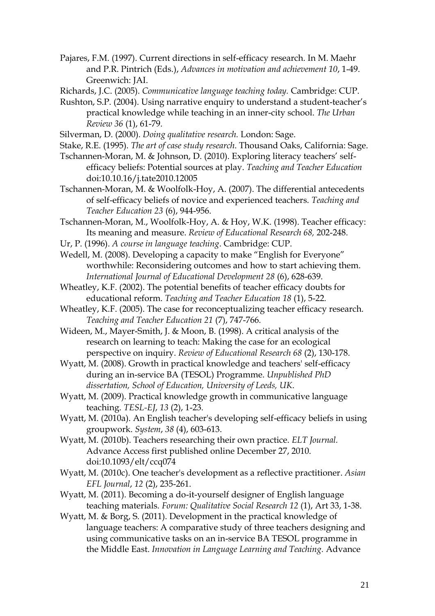Pajares, F.M. (1997). Current directions in self-efficacy research. In M. Maehr and P.R. Pintrich (Eds.), *Advances in motivation and achievement 10*, 1-49. Greenwich: JAI.

Richards, J.C. (2005). *Communicative language teaching today.* Cambridge: CUP.

- Rushton, S.P. (2004). Using narrative enquiry to understand a student-teacher's practical knowledge while teaching in an inner-city school. *The Urban Review 36* (1), 61-79.
- Silverman, D. (2000). *Doing qualitative research.* London: Sage.
- Stake, R.E. (1995). *The art of case study research*. Thousand Oaks, California: Sage.
- Tschannen-Moran, M. & Johnson, D. (2010). Exploring literacy teachers' selfefficacy beliefs: Potential sources at play. *Teaching and Teacher Education*  doi:10.10.16/j.tate2010.12005
- Tschannen-Moran, M. & Woolfolk-Hoy, A. (2007). The differential antecedents of self-efficacy beliefs of novice and experienced teachers. *Teaching and Teacher Education 23* (6), 944-956.
- Tschannen-Moran, M., Woolfolk-Hoy, A. & Hoy, W.K. (1998). Teacher efficacy: Its meaning and measure. *Review of Educational Research 68,* 202-248.
- Ur, P. (1996). *A course in language teaching*. Cambridge: CUP.
- Wedell, M. (2008). Developing a capacity to make "English for Everyone" worthwhile: Reconsidering outcomes and how to start achieving them. *International Journal of Educational Development 28* (6), 628-639.
- Wheatley, K.F. (2002). The potential benefits of teacher efficacy doubts for educational reform. *Teaching and Teacher Education 18* (1), 5-22*.*
- Wheatley, K.F. (2005). The case for reconceptualizing teacher efficacy research. *Teaching and Teacher Education 21* (7), 747-766*.*
- Wideen, M., Mayer-Smith, J. & Moon, B. (1998). A critical analysis of the research on learning to teach: Making the case for an ecological perspective on inquiry. *Review of Educational Research 68* (2), 130-178.
- Wyatt, M. (2008). Growth in practical knowledge and teachers' self-efficacy during an in-service BA (TESOL) Programme. *Unpublished PhD dissertation, School of Education, University of Leeds, UK*.
- Wyatt, M. (2009). Practical knowledge growth in communicative language teaching. *TESL-EJ*, *13* (2), 1-23.
- Wyatt, M. (2010a). An English teacher's developing self-efficacy beliefs in using groupwork. *System*, *38* (4), 603-613.
- Wyatt, M. (2010b). Teachers researching their own practice. *ELT Journal.* Advance Access first published online December 27, 2010. doi:10.1093/elt/ccq074
- Wyatt, M. (2010c). One teacher's development as a reflective practitioner. *Asian EFL Journal*, *12* (2), 235-261.
- Wyatt, M. (2011). Becoming a do-it-yourself designer of English language teaching materials. *Forum: Qualitative Social Research 12* (1), Art 33, 1-38.
- Wyatt, M. & Borg, S. (2011). Development in the practical knowledge of language teachers: A comparative study of three teachers designing and using communicative tasks on an in-service BA TESOL programme in the Middle East. *Innovation in Language Learning and Teaching.* Advance